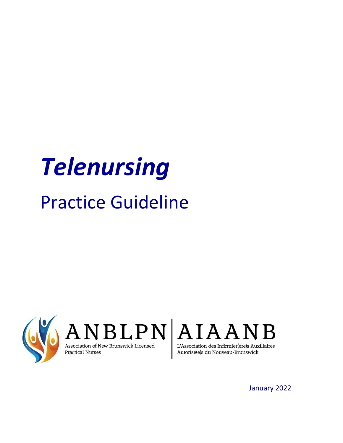# *Telenursing* Practice Guideline





**Practical Nurses** 



Autorisé(e)s du Nouveau-Brunswick

January 2022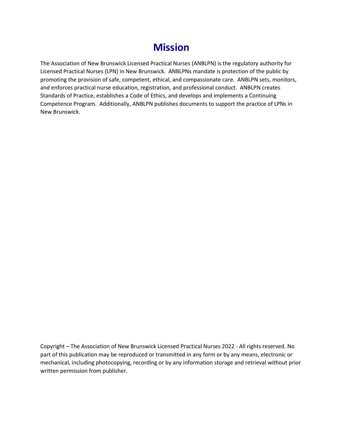# **Mission**

The Association of New Brunswick Licensed Practical Nurses (ANBLPN) is the regulatory authority for Licensed Practical Nurses (LPN) in New Brunswick. ANBLPNs mandate is protection of the public by promoting the provision of safe, competent, ethical, and compassionate care. ANBLPN sets, monitors, and enforces practical nurse education, registration, and professional conduct. ANBLPN creates Standards of Practice, establishes a Code of Ethics, and develops and implements a Continuing Competence Program. Additionally, ANBLPN publishes documents to support the practice of LPNs in New Brunswick.

Copyright – The Association of New Brunswick Licensed Practical Nurses 2022 - All rights reserved. No part of this publication may be reproduced or transmitted in any form or by any means, electronic or mechanical, including photocopying, recording or by any information storage and retrieval without prior written permission from publisher.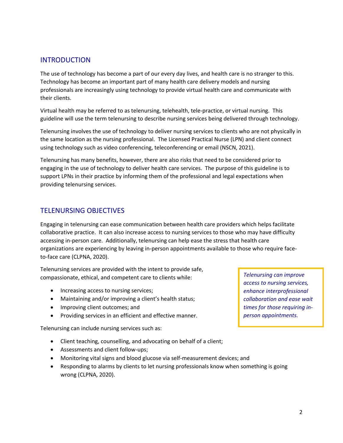#### INTRODUCTION

The use of technology has become a part of our every day lives, and health care is no stranger to this. Technology has become an important part of many health care delivery models and nursing professionals are increasingly using technology to provide virtual health care and communicate with their clients.

Virtual health may be referred to as telenursing, telehealth, tele-practice, or virtual nursing. This guideline will use the term telenursing to describe nursing services being delivered through technology.

Telenursing involves the use of technology to deliver nursing services to clients who are not physically in the same location as the nursing professional. The Licensed Practical Nurse (LPN) and client connect using technology such as video conferencing, teleconferencing or email (NSCN, 2021).

Telenursing has many benefits, however, there are also risks that need to be considered prior to engaging in the use of technology to deliver health care services. The purpose of this guideline is to support LPNs in their practice by informing them of the professional and legal expectations when providing telenursing services.

#### TELENURSING OBJECTIVES

Engaging in telenursing can ease communication between health care providers which helps facilitate collaborative practice. It can also increase access to nursing services to those who may have difficulty accessing in-person care. Additionally, telenursing can help ease the stress that health care organizations are experiencing by leaving in-person appointments available to those who require faceto-face care (CLPNA, 2020).

Telenursing services are provided with the intent to provide safe, compassionate, ethical, and competent care to clients while:

- Increasing access to nursing services;
- Maintaining and/or improving a client's health status;
- Improving client outcomes; and
- Providing services in an efficient and effective manner.

Telenursing can include nursing services such as:

- Client teaching, counselling, and advocating on behalf of a client;
- Assessments and client follow-ups;
- Monitoring vital signs and blood glucose via self-measurement devices; and
- Responding to alarms by clients to let nursing professionals know when something is going wrong (CLPNA, 2020).

*Telenursing can improve access to nursing services, enhance interprofessional collaboration and ease wait times for those requiring inperson appointments.*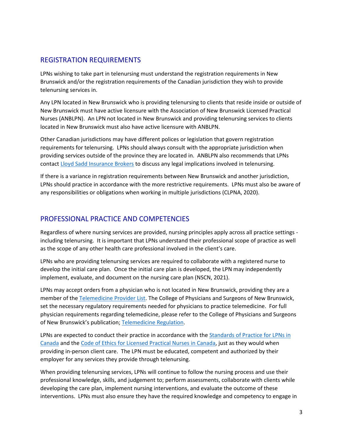# REGISTRATION REQUIREMENTS

LPNs wishing to take part in telenursing must understand the registration requirements in New Brunswick and/or the registration requirements of the Canadian jurisdiction they wish to provide telenursing services in.

Any LPN located in New Brunswick who is providing telenursing to clients that reside inside or outside of New Brunswick must have active licensure with the Association of New Brunswick Licensed Practical Nurses (ANBLPN). An LPN not located in New Brunswick and providing telenursing services to clients located in New Brunswick must also have active licensure with ANBLPN.

Other Canadian jurisdictions may have different polices or legislation that govern registration requirements for telenursing. LPNs should always consult with the appropriate jurisdiction when providing services outside of the province they are located in. ANBLPN also recommends that LPNs contact [Lloyd Sadd Insurance Brokers](https://www.lloydsadd.com/insurance/specialty-programs/lpn/) to discuss any legal implications involved in telenursing.

If there is a variance in registration requirements between New Brunswick and another jurisdiction, LPNs should practice in accordance with the more restrictive requirements. LPNs must also be aware of any responsibilities or obligations when working in multiple jurisdictions (CLPNA, 2020).

# PROFESSIONAL PRACTICE AND COMPETENCIES

Regardless of where nursing services are provided, nursing principles apply across all practice settings including telenursing. It is important that LPNs understand their professional scope of practice as well as the scope of any other health care professional involved in the client's care.

LPNs who are providing telenursing services are required to collaborate with a registered nurse to develop the initial care plan. Once the initial care plan is developed, the LPN may independently implement, evaluate, and document on the nursing care plan (NSCN, 2021).

LPNs may accept orders from a physician who is not located in New Brunswick, providing they are a member of th[e Telemedicine Provider List.](https://cpsnb.org/en/find-physicians/telemedicine-providers) The College of Physicians and Surgeons of New Brunswick, set the necessary regulatory requirements needed for physicians to practice telemedicine. For full physician requirements regarding telemedicine, please refer to the College of Physicians and Surgeons of New Brunswick's publication; [Telemedicine Regulation.](https://cpsnb.org/en/medical-act-regulations-and-guidelines/regulations/419-regulation-13-telemedicine-regulation?highlight=WyJ0ZWxlbWVkaWNpbmUiXQ==)

LPNs are expected to conduct their practice in accordance with the [Standards of Practice for LPNs in](https://www.anblpn.ca/wp-content/uploads/2021/04/CCPNR-2020-Standard_ENG.pdf)  [Canada](https://www.anblpn.ca/wp-content/uploads/2021/04/CCPNR-2020-Standard_ENG.pdf) and th[e Code of Ethics for Licensed Practical Nurses in Canada,](https://www.anblpn.ca/wp-content/uploads/2021/04/Code_of_Ethics_2013.pdf) just as they would when providing in-person client care. The LPN must be educated, competent and authorized by their employer for any services they provide through telenursing.

When providing telenursing services, LPNs will continue to follow the nursing process and use their professional knowledge, skills, and judgement to; perform assessments, collaborate with clients while developing the care plan, implement nursing interventions, and evaluate the outcome of these interventions. LPNs must also ensure they have the required knowledge and competency to engage in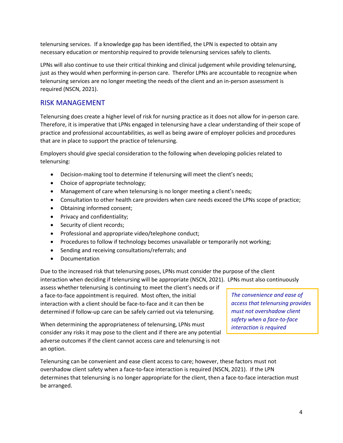telenursing services. If a knowledge gap has been identified, the LPN is expected to obtain any necessary education or mentorship required to provide telenursing services safely to clients.

LPNs will also continue to use their critical thinking and clinical judgement while providing telenursing, just as they would when performing in-person care. Therefor LPNs are accountable to recognize when telenursing services are no longer meeting the needs of the client and an in-person assessment is required (NSCN, 2021).

#### RISK MANAGEMENT

Telenursing does create a higher level of risk for nursing practice as it does not allow for in-person care. Therefore, it is imperative that LPNs engaged in telenursing have a clear understanding of their scope of practice and professional accountabilities, as well as being aware of employer policies and procedures that are in place to support the practice of telenursing.

Employers should give special consideration to the following when developing policies related to telenursing:

- Decision-making tool to determine if telenursing will meet the client's needs;
- Choice of appropriate technology;
- Management of care when telenursing is no longer meeting a client's needs;
- Consultation to other health care providers when care needs exceed the LPNs scope of practice;
- Obtaining informed consent;
- Privacy and confidentiality;
- Security of client records;
- Professional and appropriate video/telephone conduct;
- Procedures to follow if technology becomes unavailable or temporarily not working;
- Sending and receiving consultations/referrals; and
- Documentation

Due to the increased risk that telenursing poses, LPNs must consider the purpose of the client interaction when deciding if telenursing will be appropriate (NSCN, 2021). LPNs must also continuously

assess whether telenursing is continuing to meet the client's needs or if a face-to-face appointment is required. Most often, the initial interaction with a client should be face-to-face and it can then be determined if follow-up care can be safely carried out via telenursing.

*The convenience and ease of access that telenursing provides must not overshadow client safety when a face-to-face interaction is required*

When determining the appropriateness of telenursing, LPNs must consider any risks it may pose to the client and if there are any potential adverse outcomes if the client cannot access care and telenursing is not an option.

Telenursing can be convenient and ease client access to care; however, these factors must not overshadow client safety when a face-to-face interaction is required (NSCN, 2021). If the LPN determines that telenursing is no longer appropriate for the client, then a face-to-face interaction must be arranged.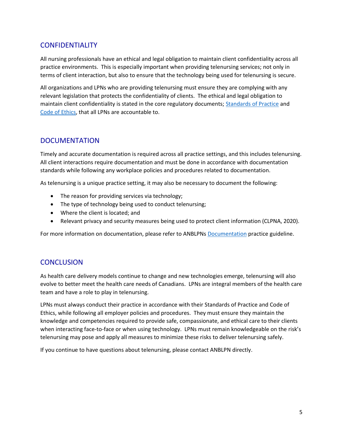# CONFIDENTIALITY

All nursing professionals have an ethical and legal obligation to maintain client confidentiality across all practice environments. This is especially important when providing telenursing services; not only in terms of client interaction, but also to ensure that the technology being used for telenursing is secure.

All organizations and LPNs who are providing telenursing must ensure they are complying with any relevant legislation that protects the confidentiality of clients. The ethical and legal obligation to maintain client confidentiality is stated in the core regulatory documents; [Standards of Practice](https://www.anblpn.ca/wp-content/uploads/2021/04/CCPNR-2020-Standard_ENG.pdf) and [Code of Ethics,](https://www.anblpn.ca/wp-content/uploads/2021/04/Code_of_Ethics_2013.pdf) that all LPNs are accountable to.

# **DOCUMENTATION**

Timely and accurate documentation is required across all practice settings, and this includes telenursing. All client interactions require documentation and must be done in accordance with documentation standards while following any workplace policies and procedures related to documentation.

As telenursing is a unique practice setting, it may also be necessary to document the following:

- The reason for providing services via technology;
- The type of technology being used to conduct telenursing;
- Where the client is located; and
- Relevant privacy and security measures being used to protect client information (CLPNA, 2020).

For more information on documentation, please refer to ANBLPN[s Documentation](https://www.anblpn.ca/wp-content/uploads/2021/04/Documentation.pdf) practice guideline.

## **CONCLUSION**

As health care delivery models continue to change and new technologies emerge, telenursing will also evolve to better meet the health care needs of Canadians. LPNs are integral members of the health care team and have a role to play in telenursing.

LPNs must always conduct their practice in accordance with their Standards of Practice and Code of Ethics, while following all employer policies and procedures. They must ensure they maintain the knowledge and competencies required to provide safe, compassionate, and ethical care to their clients when interacting face-to-face or when using technology. LPNs must remain knowledgeable on the risk's telenursing may pose and apply all measures to minimize these risks to deliver telenursing safely.

If you continue to have questions about telenursing, please contact ANBLPN directly.